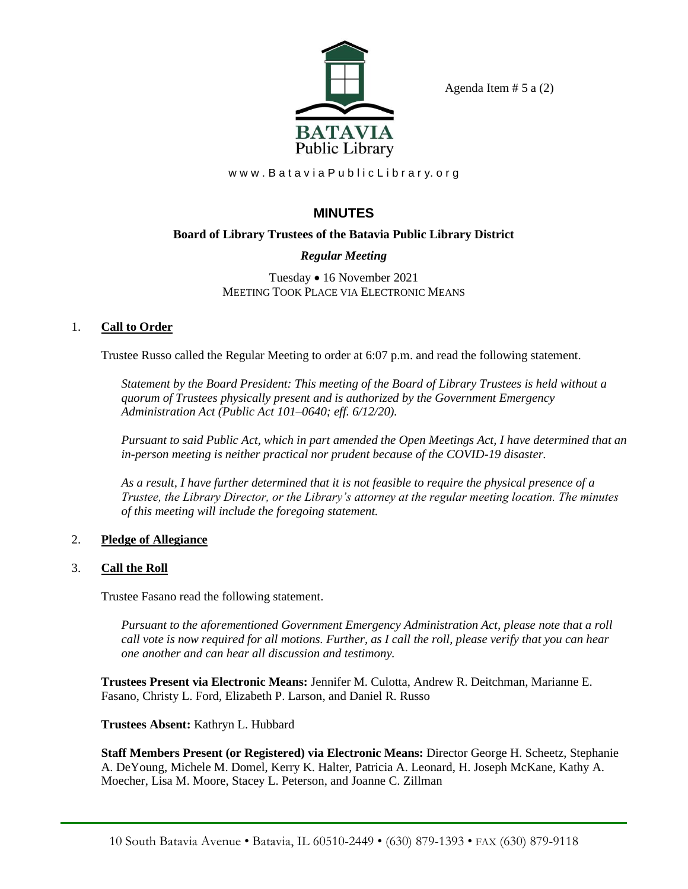

Agenda Item  $# 5$  a  $(2)$ 

www.BataviaPublicLibrary.org

# **MINUTES**

# **Board of Library Trustees of the Batavia Public Library District**

# *Regular Meeting*

Tuesday • 16 November 2021 MEETING TOOK PLACE VIA ELECTRONIC MEANS

# 1. **Call to Order**

Trustee Russo called the Regular Meeting to order at 6:07 p.m. and read the following statement.

*Statement by the Board President: This meeting of the Board of Library Trustees is held without a quorum of Trustees physically present and is authorized by the Government Emergency Administration Act (Public Act 101–0640; eff. 6/12/20).*

*Pursuant to said Public Act, which in part amended the Open Meetings Act, I have determined that an in-person meeting is neither practical nor prudent because of the COVID-19 disaster.* 

*As a result, I have further determined that it is not feasible to require the physical presence of a Trustee, the Library Director, or the Library's attorney at the regular meeting location. The minutes of this meeting will include the foregoing statement.*

## 2. **Pledge of Allegiance**

## 3. **Call the Roll**

Trustee Fasano read the following statement.

*Pursuant to the aforementioned Government Emergency Administration Act, please note that a roll call vote is now required for all motions. Further, as I call the roll, please verify that you can hear one another and can hear all discussion and testimony.*

**Trustees Present via Electronic Means:** Jennifer M. Culotta, Andrew R. Deitchman, Marianne E. Fasano, Christy L. Ford, Elizabeth P. Larson, and Daniel R. Russo

**Trustees Absent:** Kathryn L. Hubbard

**Staff Members Present (or Registered) via Electronic Means:** Director George H. Scheetz, Stephanie A. DeYoung, Michele M. Domel, Kerry K. Halter, Patricia A. Leonard, H. Joseph McKane, Kathy A. Moecher, Lisa M. Moore, Stacey L. Peterson, and Joanne C. Zillman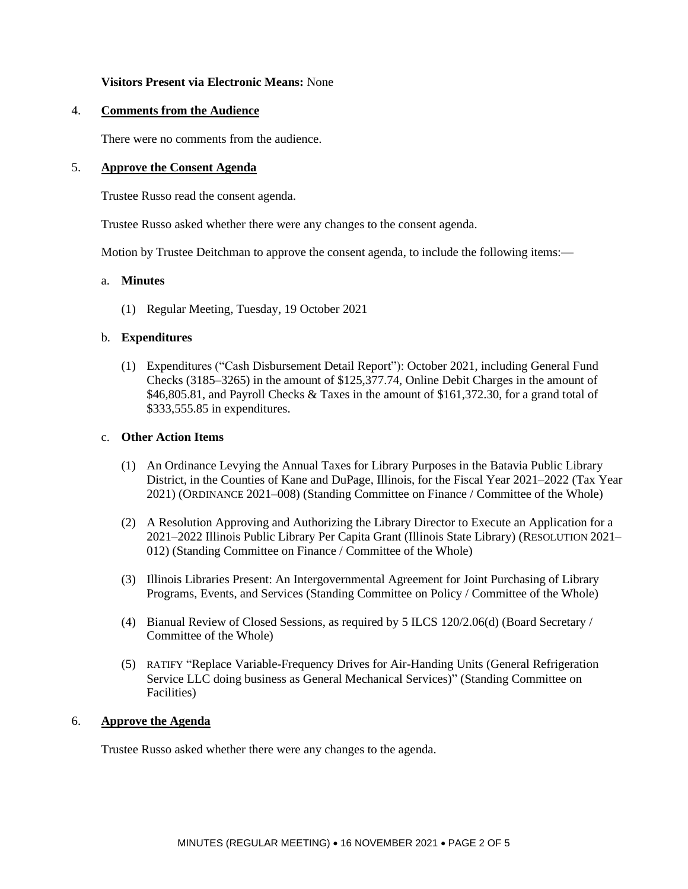#### **Visitors Present via Electronic Means:** None

#### 4. **Comments from the Audience**

There were no comments from the audience.

#### 5. **Approve the Consent Agenda**

Trustee Russo read the consent agenda.

Trustee Russo asked whether there were any changes to the consent agenda.

Motion by Trustee Deitchman to approve the consent agenda, to include the following items:—

#### a. **Minutes**

(1) Regular Meeting, Tuesday, 19 October 2021

#### b. **Expenditures**

(1) Expenditures ("Cash Disbursement Detail Report"): October 2021, including General Fund Checks (3185–3265) in the amount of \$125,377.74, Online Debit Charges in the amount of \$46,805.81, and Payroll Checks & Taxes in the amount of \$161,372.30, for a grand total of \$333,555.85 in expenditures.

#### c. **Other Action Items**

- (1) An Ordinance Levying the Annual Taxes for Library Purposes in the Batavia Public Library District, in the Counties of Kane and DuPage, Illinois, for the Fiscal Year 2021–2022 (Tax Year 2021) (ORDINANCE 2021–008) (Standing Committee on Finance / Committee of the Whole)
- (2) A Resolution Approving and Authorizing the Library Director to Execute an Application for a 2021–2022 Illinois Public Library Per Capita Grant (Illinois State Library) (RESOLUTION 2021– 012) (Standing Committee on Finance / Committee of the Whole)
- (3) Illinois Libraries Present: An Intergovernmental Agreement for Joint Purchasing of Library Programs, Events, and Services (Standing Committee on Policy / Committee of the Whole)
- (4) Bianual Review of Closed Sessions, as required by 5 ILCS 120/2.06(d) (Board Secretary / Committee of the Whole)
- (5) RATIFY "Replace Variable-Frequency Drives for Air-Handing Units (General Refrigeration Service LLC doing business as General Mechanical Services)" (Standing Committee on Facilities)

#### 6. **Approve the Agenda**

Trustee Russo asked whether there were any changes to the agenda.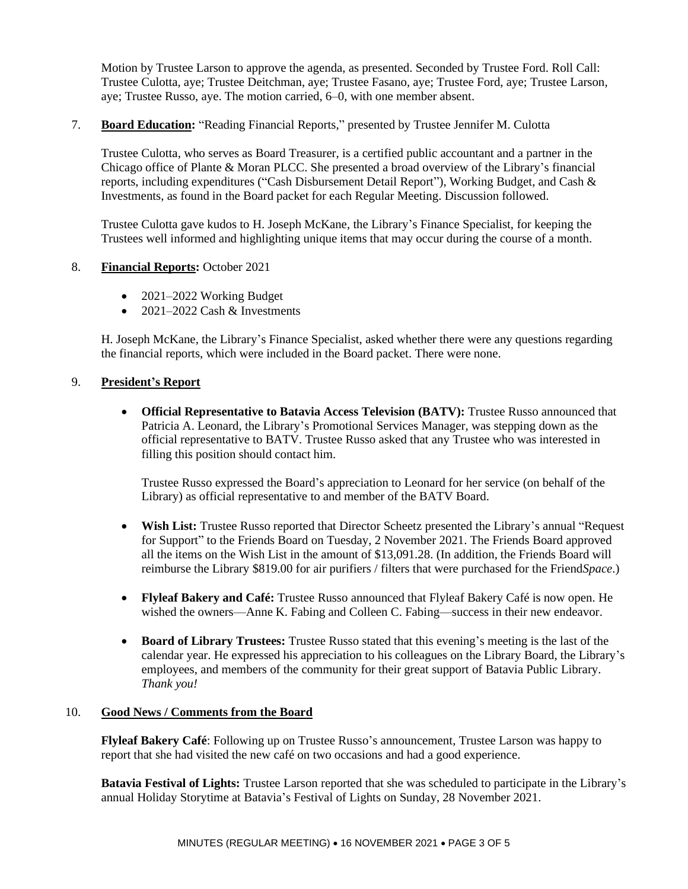Motion by Trustee Larson to approve the agenda, as presented. Seconded by Trustee Ford. Roll Call: Trustee Culotta, aye; Trustee Deitchman, aye; Trustee Fasano, aye; Trustee Ford, aye; Trustee Larson, aye; Trustee Russo, aye. The motion carried, 6–0, with one member absent.

7. **Board Education:** "Reading Financial Reports," presented by Trustee Jennifer M. Culotta

Trustee Culotta, who serves as Board Treasurer, is a certified public accountant and a partner in the Chicago office of Plante & Moran PLCC. She presented a broad overview of the Library's financial reports, including expenditures ("Cash Disbursement Detail Report"), Working Budget, and Cash & Investments, as found in the Board packet for each Regular Meeting. Discussion followed.

Trustee Culotta gave kudos to H. Joseph McKane, the Library's Finance Specialist, for keeping the Trustees well informed and highlighting unique items that may occur during the course of a month.

### 8. **Financial Reports:** October 2021

- 2021–2022 Working Budget
- 2021–2022 Cash  $&$  Investments

H. Joseph McKane, the Library's Finance Specialist, asked whether there were any questions regarding the financial reports, which were included in the Board packet. There were none.

### 9. **President's Report**

• **Official Representative to Batavia Access Television (BATV):** Trustee Russo announced that Patricia A. Leonard, the Library's Promotional Services Manager, was stepping down as the official representative to BATV. Trustee Russo asked that any Trustee who was interested in filling this position should contact him.

Trustee Russo expressed the Board's appreciation to Leonard for her service (on behalf of the Library) as official representative to and member of the BATV Board.

- Wish List: Trustee Russo reported that Director Scheetz presented the Library's annual "Request" for Support" to the Friends Board on Tuesday, 2 November 2021. The Friends Board approved all the items on the Wish List in the amount of \$13,091.28. (In addition, the Friends Board will reimburse the Library \$819.00 for air purifiers / filters that were purchased for the Friend*Space*.)
- **Flyleaf Bakery and Café:** Trustee Russo announced that Flyleaf Bakery Café is now open. He wished the owners—Anne K. Fabing and Colleen C. Fabing—success in their new endeavor.
- **Board of Library Trustees:** Trustee Russo stated that this evening's meeting is the last of the calendar year. He expressed his appreciation to his colleagues on the Library Board, the Library's employees, and members of the community for their great support of Batavia Public Library. *Thank you!*

### 10. **Good News / Comments from the Board**

**Flyleaf Bakery Café**: Following up on Trustee Russo's announcement, Trustee Larson was happy to report that she had visited the new café on two occasions and had a good experience.

**Batavia Festival of Lights:** Trustee Larson reported that she was scheduled to participate in the Library's annual Holiday Storytime at Batavia's Festival of Lights on Sunday, 28 November 2021.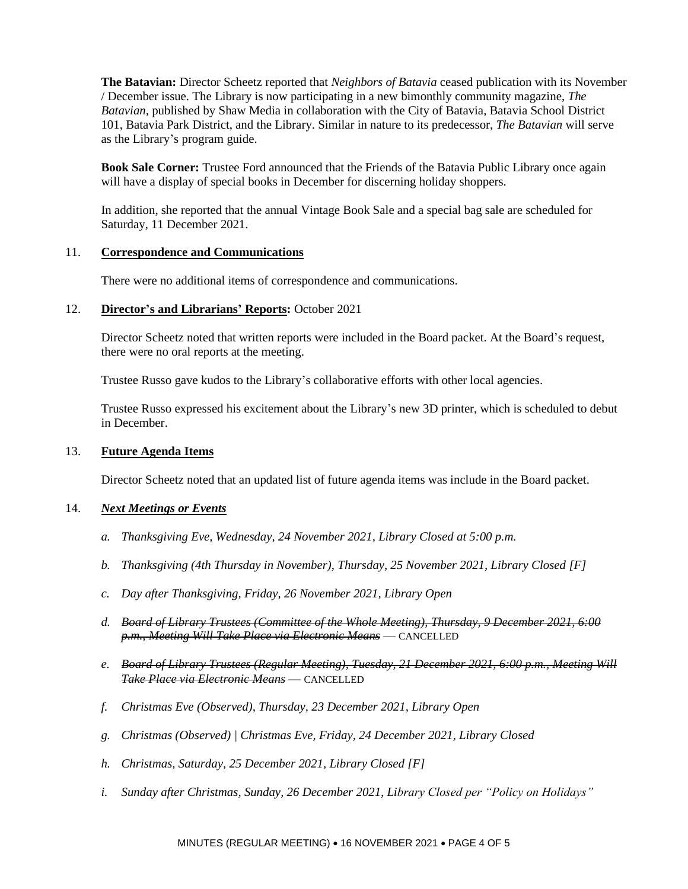**The Batavian:** Director Scheetz reported that *Neighbors of Batavia* ceased publication with its November / December issue. The Library is now participating in a new bimonthly community magazine, *The Batavian,* published by Shaw Media in collaboration with the City of Batavia, Batavia School District 101, Batavia Park District, and the Library. Similar in nature to its predecessor, *The Batavian* will serve as the Library's program guide.

**Book Sale Corner:** Trustee Ford announced that the Friends of the Batavia Public Library once again will have a display of special books in December for discerning holiday shoppers.

In addition, she reported that the annual Vintage Book Sale and a special bag sale are scheduled for Saturday, 11 December 2021.

#### 11. **Correspondence and Communications**

There were no additional items of correspondence and communications.

#### 12. **Director's and Librarians' Reports:** October 2021

Director Scheetz noted that written reports were included in the Board packet. At the Board's request, there were no oral reports at the meeting.

Trustee Russo gave kudos to the Library's collaborative efforts with other local agencies.

Trustee Russo expressed his excitement about the Library's new 3D printer, which is scheduled to debut in December.

#### 13. **Future Agenda Items**

Director Scheetz noted that an updated list of future agenda items was include in the Board packet.

## 14. *Next Meetings or Events*

- *a. Thanksgiving Eve, Wednesday, 24 November 2021, Library Closed at 5:00 p.m.*
- *b. Thanksgiving (4th Thursday in November), Thursday, 25 November 2021, Library Closed [F]*
- *c. Day after Thanksgiving, Friday, 26 November 2021, Library Open*
- *d. Board of Library Trustees (Committee of the Whole Meeting), Thursday, 9 December 2021, 6:00 p.m., Meeting Will Take Place via Electronic Means* — CANCELLED
- *e. Board of Library Trustees (Regular Meeting), Tuesday, 21 December 2021, 6:00 p.m., Meeting Will Take Place via Electronic Means* — CANCELLED
- *f. Christmas Eve (Observed), Thursday, 23 December 2021, Library Open*
- *g. Christmas (Observed) | Christmas Eve, Friday, 24 December 2021, Library Closed*
- *h. Christmas, Saturday, 25 December 2021, Library Closed [F]*
- *i. Sunday after Christmas, Sunday, 26 December 2021, Library Closed per "Policy on Holidays"*